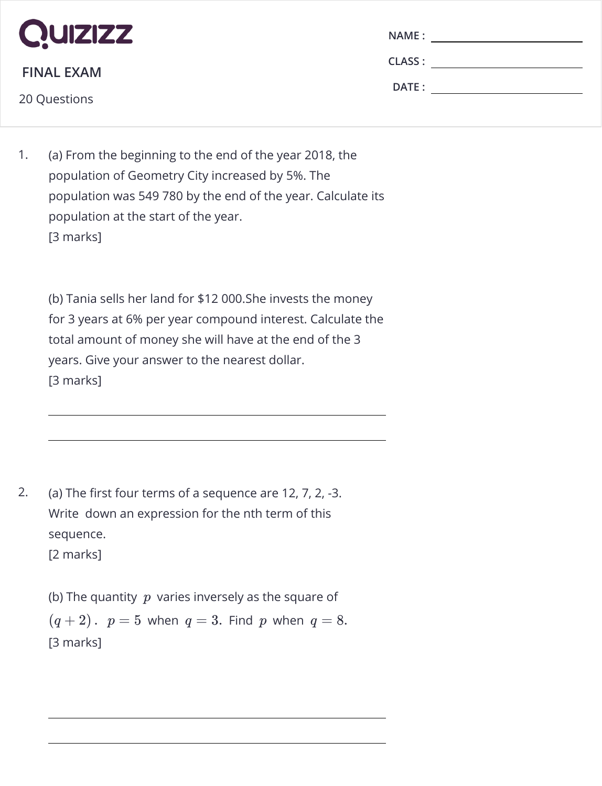

**FINAL EXAM**

20 Questions

| <b>NAME:</b>  |  |
|---------------|--|
| <b>CLASS:</b> |  |
| DATE:         |  |
|               |  |

1. (a) From the beginning to the end of the year 2018, the population of Geometry City increased by 5%. The population was 549 780 by the end of the year. Calculate its population at the start of the year. [3 marks]

(b) Tania sells her land for \$12 000.She invests the money for 3 years at 6% per year compound interest. Calculate the total amount of money she will have at the end of the 3 years. Give your answer to the nearest dollar. [3 marks]

2. (a) The first four terms of a sequence are 12, 7, 2,  $-3$ . Write down an expression for the nth term of this sequence. [2 marks]

(b) The quantity  $\,p\,$  varies inversely as the square of  $(q + 2)$ .  $p = 5$  when  $q = 3$ . Find  $p$  when  $q = 8$ . [3 marks]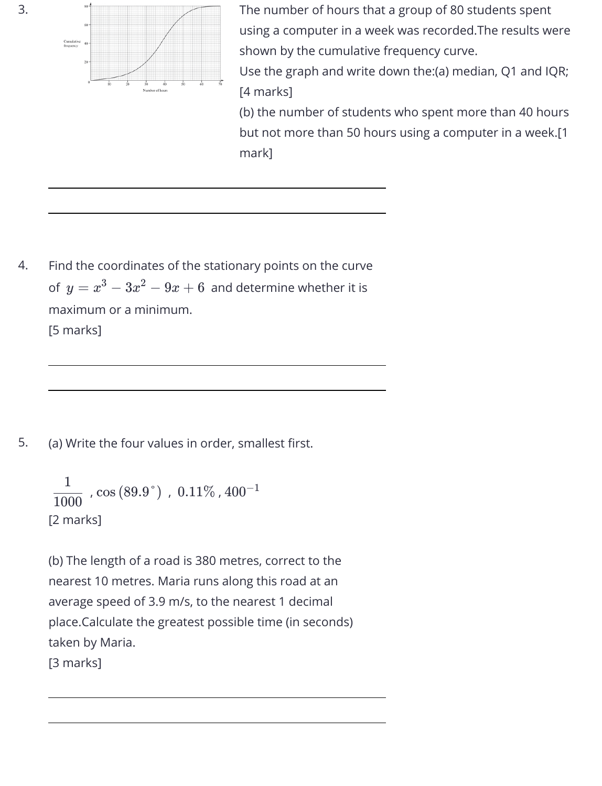

The number of hours that a group of 80 students spent using a computer in a week was recorded.The results were shown by the cumulative frequency curve.

Use the graph and write down the:(a) median, Q1 and IQR; [4 marks]

(b) the number of students who spent more than 40 hours but not more than 50 hours using a computer in a week.[1 mark]

4. Find the coordinates of the stationary points on the curve of  $y=x^3-3x^2-9x+6$  and determine whether it is maximum or a minimum. [5 marks]

5. (a) Write the four values in order, smallest first.

```
, \cos{(89.9\degree)} , \,0.11\% , 400^{-1}[2 marks] 
1000
   1
           \cos{\left(89.9\degree\right)} , \,0.11\% , 400^{-1}
```
(b) The length of a road is 380 metres, correct to the nearest 10 metres. Maria runs along this road at an average speed of 3.9 m/s, to the nearest 1 decimal place.Calculate the greatest possible time (in seconds) taken by Maria. [3 marks]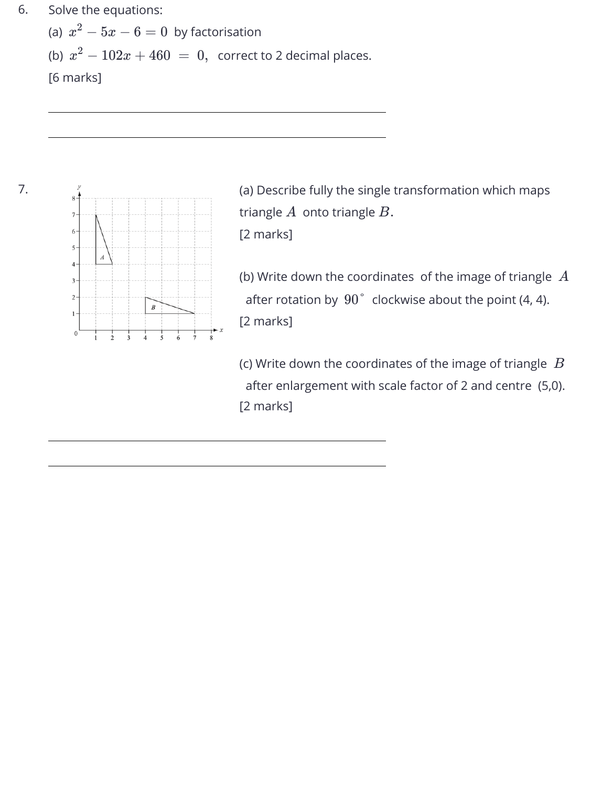## 6. Solve the equations:

(a)  $x^2-5x-6=0\,$  by factorisation (b)  $x^2-102x+460~=~0,~$  correct to 2 decimal places. [6 marks]



(a) Describe fully the single transformation which maps triangle  $A\,$  onto triangle  $B.$ 

[2 marks]

(b) Write down the coordinates of the image of triangle *A* after rotation by  $90\degree$  clockwise about the point (4, 4). [2 marks]

(c) Write down the coordinates of the image of triangle *B* after enlargement with scale factor of 2 and centre (5,0). [2 marks]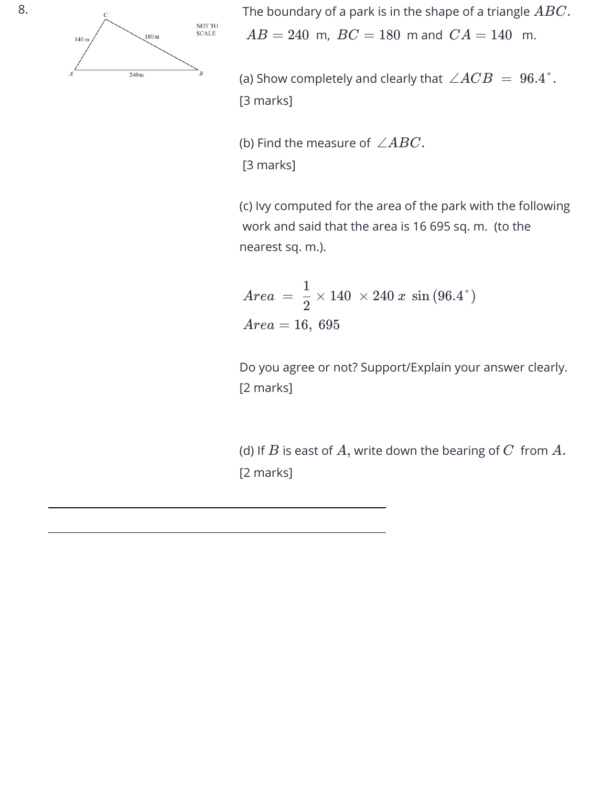

8. The boundary of a park is in the shape of a triangle *ABC*.  $AB = 240$  m,  $BC = 180$  m and  $CA = 140$  m.

> (a) Show completely and clearly that  $\, \angle ACB ~=~ 96.4\degree.$ [3 marks]

(b) Find the measure of  $\, \angle ABC.$ [3 marks]

(c) Ivy computed for the area of the park with the following work and said that the area is 16 695 sq. m. (to the nearest sq. m.).

$$
Area\ =\ \frac{1}{2} \times 140\ \times 240\ x\ \sin{(96.4\degree)}\\ Area=16,\ 695
$$

Do you agree or not? Support/Explain your answer clearly. [2 marks]

(d) If  $B$  is east of  $A,$  write down the bearing of  $C\,$  from  $A.$ [2 marks]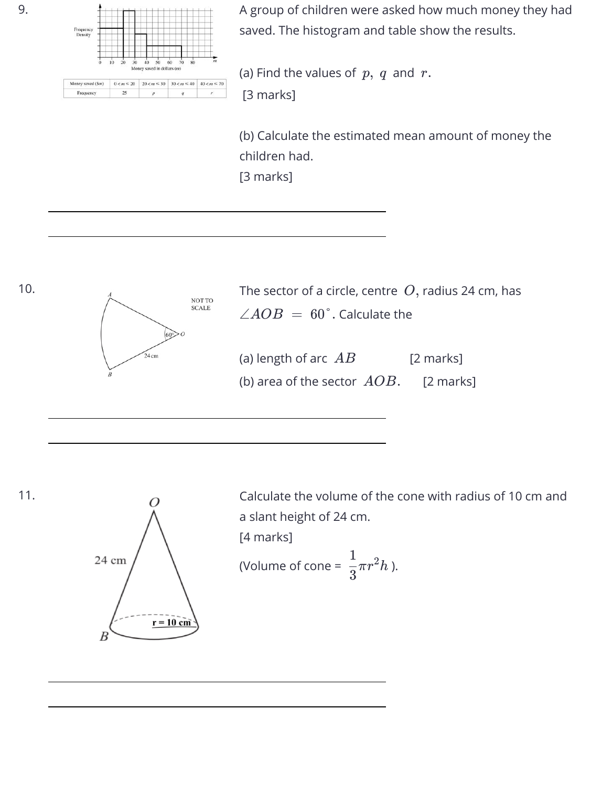

25

Frequency

A group of children were asked how much money they had saved. The histogram and table show the results.

(a) Find the values of  $p, q$  and  $r$ .

[3 marks]

(b) Calculate the estimated mean amount of money the children had. [3 marks]



11.



Calculate the volume of the cone with radius of 10 cm and a slant height of 24 cm. [4 marks]

(Volume of cone =  $\frac{1}{2}\pi r^2 h$  ). 3  $\frac{1}{2\pi r^2}$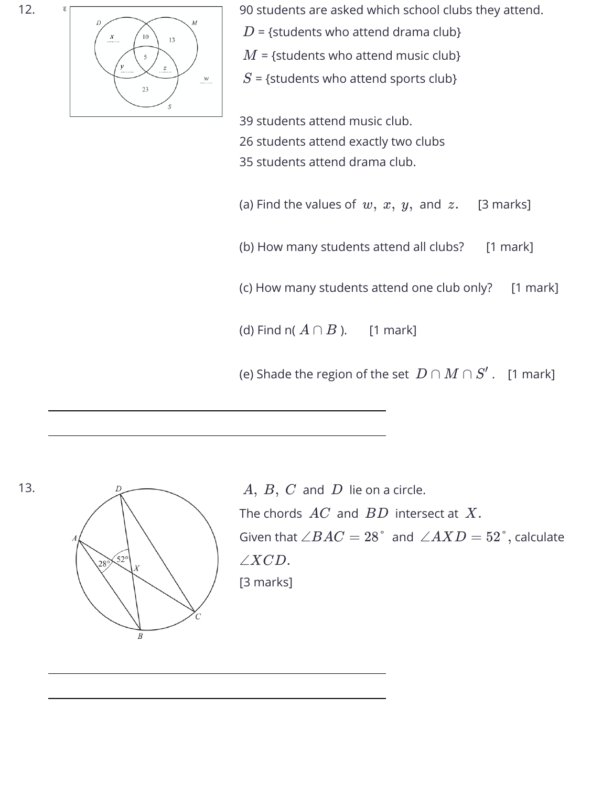12.



90 students are asked which school clubs they attend.

- $D$  = {students who attend drama club}
- $M$  = {students who attend music club}
- $S$  = {students who attend sports club}

39 students attend music club. 26 students attend exactly two clubs 35 students attend drama club.

(a) Find the values of  $w, x, y$ , and  $z$ .  $[3$  marks]

(b) How many students attend all clubs? [1 mark]

(c) How many students attend one club only? [1 mark]

(d) Find n(  $A \cap B$  ).  $\quad$  [1 mark]

(e) Shade the region of the set  $\ D\cap M\cap S'$  .  $\ [1$  mark]



 $A, \ B, \ C$  and  $D$  lie on a circle. The chords  $\,AC\,$  and  $\,BD\,$  intersect at  $\,X.$ Given that  $\angle BAC = 28\degree$  and  $\angle AXD = 52\degree,$  calculate [3 marks] ∠*XCD*.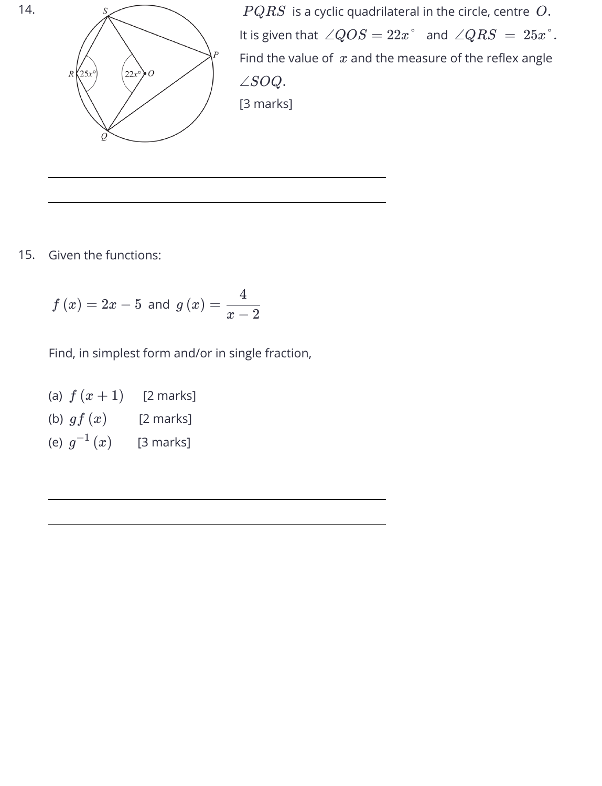

 $PQRS$  is a cyclic quadrilateral in the circle, centre  $\,O.$ It is given that  $\ \angle QOS = 22x^{\degree} \ \ \text{and} \ \ \angle QRS \ = \ 25x^{\degree}.$ Find the value of  $x$  and the measure of the reflex angle [3 marks] ∠*SOQ*.

15. Given the functions:

$$
f\left(x\right)=2x-5\text{ and }g\left(x\right)=\frac{4}{x-2}
$$

Find, in simplest form and/or in single fraction,

(a)  $f\left(x+1\right)$  [2 marks] (b)  $gf\left( x\right)$   $\qquad \left[ 2\text{ marks}\right]$ (e)  $g^{-1}\left(x\right)$   $\quad$  [3 marks]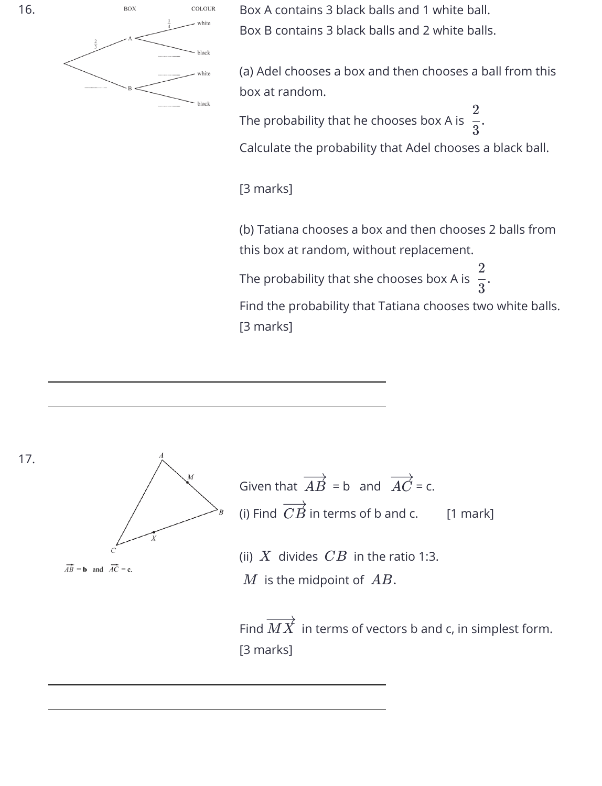

Box A contains 3 black balls and 1 white ball. Box B contains 3 black balls and 2 white balls.

(a) Adel chooses a box and then chooses a ball from this box at random.

The probability that he chooses box A is  $\frac{1}{2}$ . 3 2

Calculate the probability that Adel chooses a black ball.

[3 marks]

(b) Tatiana chooses a box and then chooses 2 balls from this box at random, without replacement.

The probability that she chooses box A is  $\frac{1}{2}$ . 3 2

Find the probability that Tatiana chooses two white balls. [3 marks]



 $\overrightarrow{AB}$  = **b** and  $\overrightarrow{AC}$  = **c**.

Given that  $\overrightarrow{AB}$  = b and  $\overrightarrow{AC}$  = c. (i) Find  $\ C B$  in terms of b and c.  $[1 \text{ mark}]$ 

(ii)  $X$  divides  $\mathit{CB}$  in the ratio 1:3.

 $M$  is the midpoint of  $\ AB.$ 

Find  $MX$  in terms of vectors b and c, in simplest form. [3 marks]

17.